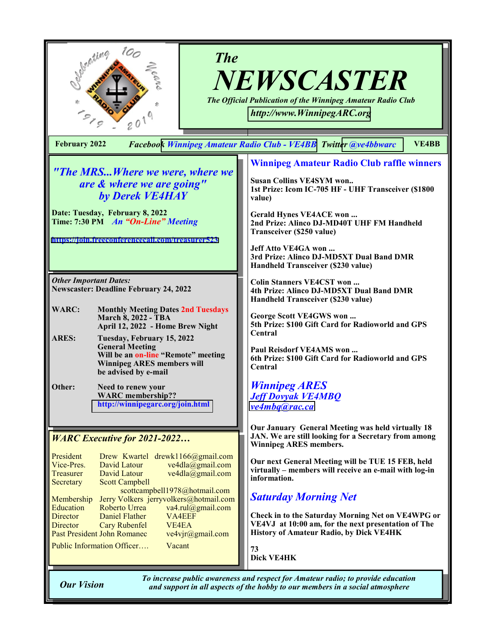| 100<br><b>The</b><br>NEWSCASTER<br>The Official Publication of the Winnipeg Amateur Radio Club<br>http://www.WinnipegARC.org                                                                                                                                                                            |                                                                                                                                                                                                                                                                                    |  |  |
|---------------------------------------------------------------------------------------------------------------------------------------------------------------------------------------------------------------------------------------------------------------------------------------------------------|------------------------------------------------------------------------------------------------------------------------------------------------------------------------------------------------------------------------------------------------------------------------------------|--|--|
| <b>VE4BB</b><br>Facebook Winnipeg Amateur Radio Club - VE4BB Twitter @ye4bbwarc<br><b>February 2022</b>                                                                                                                                                                                                 |                                                                                                                                                                                                                                                                                    |  |  |
| "The MRSWhere we were, where we<br>are & where we are going"<br>by Derek VE4HAY<br>Date: Tuesday, February 8, 2022<br>Time: 7:30 PM An "On-Line" Meeting<br>https://join.freeconferencecall.com/treasurer523                                                                                            | <b>Winnipeg Amateur Radio Club raffle winners</b><br><b>Susan Collins VE4SYM won</b><br>1st Prize: Icom IC-705 HF - UHF Transceiver (\$1800<br>value)<br>Gerald Hynes VE4ACE won<br>2nd Prize: Alinco DJ-MD40T UHF FM Handheld<br>Transceiver (\$250 value)<br>Jeff Atto VE4GA won |  |  |
| <b>Other Important Dates:</b><br><b>Newscaster: Deadline February 24, 2022</b>                                                                                                                                                                                                                          | 3rd Prize: Alinco DJ-MD5XT Dual Band DMR<br>Handheld Transceiver (\$230 value)<br><b>Colin Stanners VE4CST won </b><br>4th Prize: Alinco DJ-MD5XT Dual Band DMR<br>Handheld Transceiver (\$230 value)                                                                              |  |  |
| <b>WARC:</b><br><b>Monthly Meeting Dates 2nd Tuesdays</b><br><b>March 8, 2022 - TBA</b><br>April 12, 2022 - Home Brew Night<br><b>ARES:</b><br>Tuesday, February 15, 2022<br><b>General Meeting</b><br>Will be an on-line "Remote" meeting<br><b>Winnipeg ARES members will</b><br>be advised by e-mail | George Scott VE4GWS won<br>5th Prize: \$100 Gift Card for Radioworld and GPS<br>Central<br>Paul Reisdorf VE4AMS won<br>6th Prize: \$100 Gift Card for Radioworld and GPS<br>Central                                                                                                |  |  |
| Other:<br><b>Need to renew your</b><br><b>WARC</b> membership??<br>http://winnipegarc.org/join.html                                                                                                                                                                                                     | <b>Winnipeg ARES</b><br><b>Jeff Dovyak VE4MBO</b><br>ve4mbq@rac.ca                                                                                                                                                                                                                 |  |  |
| <b>WARC Executive for 2021-2022</b>                                                                                                                                                                                                                                                                     | Our January General Meeting was held virtually 18<br>JAN. We are still looking for a Secretary from among<br><b>Winnipeg ARES members.</b>                                                                                                                                         |  |  |
| President<br>Drew Kwartel drewk1166@gmail.com<br>Vice-Pres.<br>David Latour<br>$ve4dla(\overline{a})$ gmail.com<br>David Latour<br>ve4dla@gmail.com<br>Treasurer<br><b>Scott Campbell</b><br>Secretary                                                                                                  | Our next General Meeting will be TUE 15 FEB, held<br>virtually - members will receive an e-mail with log-in<br>information.                                                                                                                                                        |  |  |
| scottcampbell1978@hotmail.com<br>Membership<br>Jerry Volkers jerryvolkers@hotmail.com                                                                                                                                                                                                                   | <b>Saturday Morning Net</b>                                                                                                                                                                                                                                                        |  |  |
| va4.rul@gmail.com<br>Education<br>Roberto Urrea<br>Daniel Flather<br>VA4EEF<br>Director<br><b>Cary Rubenfel</b><br>VE4EA<br>Director<br>Past President John Romanec<br>ve4vjr@gmail.com                                                                                                                 | Check in to the Saturday Morning Net on VE4WPG or<br>VE4VJ at 10:00 am, for the next presentation of The<br>History of Amateur Radio, by Dick VE4HK                                                                                                                                |  |  |
| Public Information Officer<br>Vacant                                                                                                                                                                                                                                                                    | 73<br><b>Dick VE4HK</b>                                                                                                                                                                                                                                                            |  |  |
| To increase public awareness and respect for Amateur radio; to provide education<br><b>Our Vision</b><br>and support in all aspects of the hobby to our members in a social atmosphere                                                                                                                  |                                                                                                                                                                                                                                                                                    |  |  |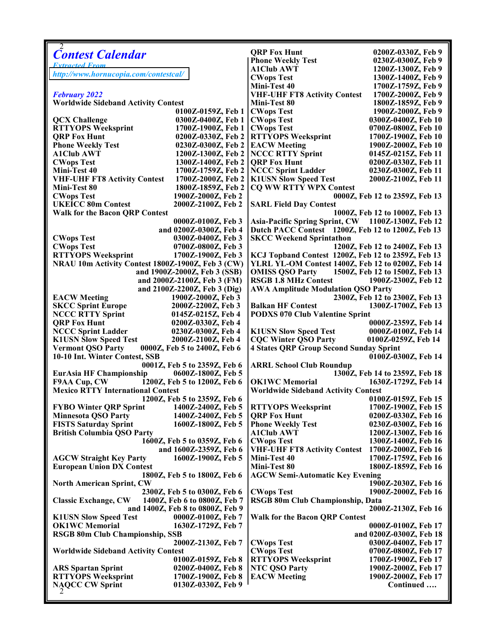| <b>Contest Calendar</b>                                     | <b>QRP Fox Hunt</b>                                | 0200Z-0330Z, Feb 9             |
|-------------------------------------------------------------|----------------------------------------------------|--------------------------------|
| <b>Extracted From</b>                                       | <b>Phone Weekly Test</b>                           | 0230Z-0300Z, Feb 9             |
|                                                             | <b>A1Club AWT</b>                                  | 1200Z-1300Z, Feb 9             |
| http://www.hornucopia.com/contestcal/                       | <b>CWops Test</b>                                  | 1300Z-1400Z, Feb 9             |
|                                                             | Mini-Test 40                                       | 1700Z-1759Z, Feb 9             |
| <b>February 2022</b>                                        | <b>VHF-UHF FT8 Activity Contest</b>                | 1700Z-2000Z, Feb 9             |
| <b>Worldwide Sideband Activity Contest</b>                  | Mini-Test 80                                       | 1800Z-1859Z, Feb 9             |
|                                                             |                                                    |                                |
| 0100Z-0159Z, Feb 1                                          | <b>CWops Test</b>                                  | 1900Z-2000Z, Feb 9             |
| <b>QCX Challenge</b><br>0300Z-0400Z, Feb 1                  | <b>CWops Test</b>                                  | 0300Z-0400Z, Feb 10            |
| <b>RTTYOPS Weeksprint</b><br>1700Z-1900Z, Feb 1             | <b>CWops Test</b>                                  | 0700Z-0800Z, Feb 10            |
| <b>QRP Fox Hunt</b><br>0200Z-0330Z, Feb 2                   | <b>RTTYOPS Weeksprint</b>                          | 1700Z-1900Z, Feb 10            |
| <b>Phone Weekly Test</b><br>0230Z-0300Z, Feb 2              | <b>EACW Meeting</b>                                | 1900Z-2000Z, Feb 10            |
| <b>A1Club AWT</b><br>1200Z-1300Z, Feb 2                     | <b>NCCC RTTY Sprint</b>                            | 0145Z-0215Z, Feb 11            |
| <b>CWops Test</b><br>1300Z-1400Z, Feb 2                     | <b>QRP Fox Hunt</b>                                | 0200Z-0330Z, Feb 11            |
| 1700Z-1759Z, Feb 2<br>Mini-Test 40                          | <b>NCCC Sprint Ladder</b>                          | 0230Z-0300Z, Feb 11            |
|                                                             |                                                    |                                |
| <b>VHF-UHF FT8 Activity Contest</b><br>1700Z-2000Z, Feb 2   | <b>K1USN Slow Speed Test</b>                       | 2000Z-2100Z, Feb 11            |
| Mini-Test 80<br>1800Z-1859Z, Feb 2                          | <b>CQ WW RTTY WPX Contest</b>                      |                                |
| <b>CWops Test</b><br>1900Z-2000Z, Feb 2                     |                                                    | 0000Z, Feb 12 to 2359Z, Feb 13 |
| <b>UKEICC 80m Contest</b><br>2000Z-2100Z, Feb 2             | <b>SARL Field Day Contest</b>                      |                                |
| <b>Walk for the Bacon QRP Contest</b>                       | 1000Z, Feb 12 to 1000Z, Feb 13                     |                                |
| 0000Z-0100Z, Feb 3                                          | Asia-Pacific Spring Sprint, CW 1100Z-1300Z, Feb 12 |                                |
| and 0200Z-0300Z, Feb 4                                      | Dutch PACC Contest 1200Z, Feb 12 to 1200Z, Feb 13  |                                |
|                                                             |                                                    |                                |
| <b>CWops Test</b><br>0300Z-0400Z, Feb 3                     | <b>SKCC Weekend Sprintathon</b>                    |                                |
| <b>CWops Test</b><br>0700Z-0800Z, Feb 3                     |                                                    | 1200Z, Feb 12 to 2400Z, Feb 13 |
| <b>RTTYOPS Weeksprint</b><br>1700Z-1900Z, Feb 3             | KCJ Topband Contest 1200Z, Feb 12 to 2359Z, Feb 13 |                                |
| NRAU 10m Activity Contest 1800Z-1900Z, Feb 3 (CW)           | YLRL YL-OM Contest 1400Z, Feb 12 to 0200Z, Feb 14  |                                |
| and 1900Z-2000Z, Feb 3 (SSB)                                | <b>OMISS QSO Party</b>                             | 1500Z, Feb 12 to 1500Z, Feb 13 |
| and 2000Z-2100Z, Feb 3 (FM)                                 | <b>RSGB 1.8 MHz Contest</b>                        | 1900Z-2300Z, Feb 12            |
| and 2100Z-2200Z, Feb 3 (Dig)                                | <b>AWA Amplitude Modulation QSO Party</b>          |                                |
| <b>EACW Meeting</b><br>1900Z-2000Z, Feb 3                   |                                                    | 2300Z, Feb 12 to 2300Z, Feb 13 |
|                                                             |                                                    |                                |
| <b>SKCC Sprint Europe</b><br>2000Z-2200Z, Feb 3             | <b>Balkan HF Contest</b>                           | 1300Z-1700Z, Feb 13            |
| <b>NCCC RTTY Sprint</b><br>0145Z-0215Z, Feb 4               | <b>PODXS 070 Club Valentine Sprint</b>             |                                |
| <b>QRP Fox Hunt</b><br>0200Z-0330Z, Feb 4                   |                                                    | 0000Z-2359Z, Feb 14            |
| <b>NCCC Sprint Ladder</b><br>0230Z-0300Z, Feb 4             | <b>K1USN Slow Speed Test</b>                       | 0000Z-0100Z, Feb 14            |
| <b>K1USN Slow Speed Test</b><br>2000Z-2100Z, Feb 4          | <b>CQC Winter QSO Party</b>                        | 0100Z-0259Z, Feb 14            |
| <b>Vermont QSO Party</b><br>0000Z, Feb 5 to 2400Z, Feb 6    | <b>4 States QRP Group Second Sunday Sprint</b>     |                                |
| 10-10 Int. Winter Contest, SSB                              |                                                    | 0100Z-0300Z, Feb 14            |
| 0001Z, Feb 5 to 2359Z, Feb 6                                | <b>ARRL School Club Roundup</b>                    |                                |
| <b>EurAsia HF Championship</b><br>0600Z-1800Z, Feb 5        |                                                    | 1300Z, Feb 14 to 2359Z, Feb 18 |
|                                                             |                                                    |                                |
| F9AA Cup, CW 1200Z, Feb 5 to 1200Z, Feb 6                   | <b>OK1WC</b> Memorial                              | 1630Z-1729Z, Feb 14            |
| <b>Mexico RTTY International Contest</b>                    | <b>Worldwide Sideband Activity Contest</b>         |                                |
| 1200Z, Feb 5 to 2359Z, Feb 6                                |                                                    | 0100Z-0159Z, Feb 15            |
| <b>FYBO Winter QRP Sprint</b><br>1400Z-2400Z, Feb 5         | <b>RTTYOPS Weeksprint</b>                          | 1700Z-1900Z, Feb 15            |
| 1400Z-2400Z, Feb 5<br><b>Minnesota QSO Party</b>            | <b>QRP Fox Hunt</b>                                | 0200Z-0330Z, Feb 16            |
| <b>FISTS Saturday Sprint</b><br>1600Z-1800Z, Feb 5          | <b>Phone Weekly Test</b>                           | 0230Z-0300Z, Feb 16            |
| <b>British Columbia QSO Party</b>                           | A1Club AWT                                         | 1200Z-1300Z, Feb 16            |
| 1600Z, Feb 5 to 0359Z, Feb 6                                | <b>CWops Test</b>                                  | 1300Z-1400Z, Feb 16            |
|                                                             |                                                    |                                |
| and 1600Z-2359Z, Feb 6                                      | <b>VHF-UHF FT8 Activity Contest</b>                | 1700Z-2000Z, Feb 16            |
| <b>AGCW Straight Key Party</b><br>1600Z-1900Z, Feb 5        | Mini-Test 40                                       | 1700Z-1759Z, Feb 16            |
| <b>European Union DX Contest</b>                            | Mini-Test 80                                       | 1800Z-1859Z, Feb 16            |
| 1800Z, Feb 5 to 1800Z, Feb 6                                | <b>AGCW Semi-Automatic Key Evening</b>             |                                |
| <b>North American Sprint, CW</b>                            |                                                    | 1900Z-2030Z, Feb 16            |
| 2300Z, Feb 5 to 0300Z, Feb 6                                | <b>CWops Test</b>                                  | 1900Z-2000Z, Feb 16            |
| <b>Classic Exchange, CW</b><br>1400Z, Feb 6 to 0800Z, Feb 7 | RSGB 80m Club Championship, Data                   |                                |
| and 1400Z, Feb 8 to 0800Z, Feb 9                            | 2000Z-2130Z, Feb 16                                |                                |
|                                                             |                                                    |                                |
| <b>K1USN Slow Speed Test</b><br>0000Z-0100Z, Feb 7          | <b>Walk for the Bacon QRP Contest</b>              |                                |
| <b>OK1WC</b> Memorial<br>1630Z-1729Z, Feb 7                 |                                                    | 0000Z-0100Z, Feb 17            |
| <b>RSGB 80m Club Championship, SSB</b>                      |                                                    | and 0200Z-0300Z, Feb 18        |
| 2000Z-2130Z, Feb 7                                          | <b>CWops Test</b>                                  | 0300Z-0400Z, Feb 17            |
| <b>Worldwide Sideband Activity Contest</b>                  | <b>CWops Test</b>                                  | 0700Z-0800Z, Feb 17            |
| 0100Z-0159Z, Feb 8                                          | <b>RTTYOPS Weeksprint</b>                          | 1700Z-1900Z, Feb 17            |
| <b>ARS Spartan Sprint</b><br>0200Z-0400Z, Feb 8             | <b>NTC QSO Party</b>                               | 1900Z-2000Z, Feb 17            |
| <b>RTTYOPS Weeksprint</b><br>1700Z-1900Z, Feb 8             | <b>EACW Meeting</b>                                | 1900Z-2000Z, Feb 17            |
| <b>NAQCC CW Sprint</b><br>0130Z-0330Z, Feb 9                |                                                    | Continued                      |
|                                                             |                                                    |                                |
|                                                             |                                                    |                                |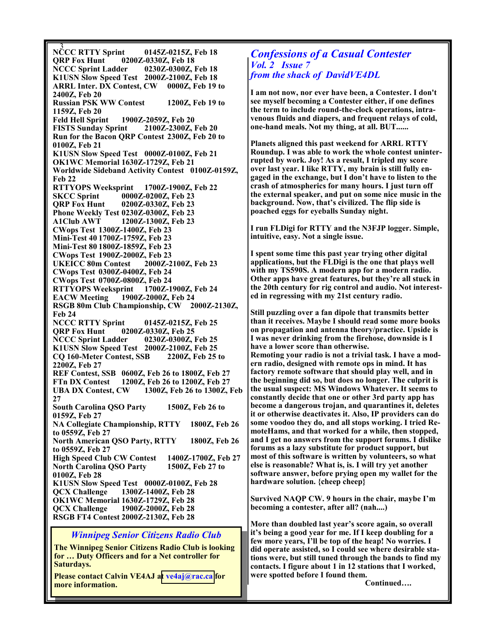3 NCCC RTTY Sprint 0145Z-0215Z, Feb 18 QRP Fox Hunt 0200Z-0330Z, Feb 18 NCCC Sprint Ladder 0230Z-0300Z, Feb 18 K1USN Slow Speed Test 2000Z-2100Z, Feb 18 ARRL Inter. DX Contest, CW 0000Z, Feb 19 to 2400Z, Feb 20 Russian PSK WW Contest 1200Z, Feb 19 to 1159Z, Feb 20 1900Z-2059Z, Feb 20<br>nt 2100Z-2300Z, Feb 20 **FISTS Sunday Sprint** Run for the Bacon QRP Contest 2300Z, Feb 20 to 0100Z, Feb 21 K1USN Slow Speed Test 0000Z-0100Z, Feb 21 OK1WC Memorial 1630Z-1729Z, Feb 21 Worldwide Sideband Activity Contest 0100Z-0159Z, Feb 22 RTTYOPS Weeksprint 1700Z-1900Z, Feb 22 SKCC Sprint 0000Z-0200Z, Feb 23 QRP Fox Hunt 0200Z-0330Z, Feb 23 Phone Weekly Test 0230Z-0300Z, Feb 23<br>A1Club AWT 1200Z-1300Z, Feb 23 1200Z-1300Z, Feb 23 CWops Test 1300Z-1400Z, Feb 23 Mini-Test 40 1700Z-1759Z, Feb 23 Mini-Test 80 1800Z-1859Z, Feb 23 CWops Test 1900Z-2000Z, Feb 23 UKEICC 80m Contest 2000Z-2100Z, Feb 23 CWops Test 0300Z-0400Z, Feb 24 CWops Test 0700Z-0800Z, Feb 24 RTTYOPS Weeksprint 1700Z-1900Z, Feb 24 EACW Meeting 1900Z-2000Z, Feb 24 RSGB 80m Club Championship, CW 2000Z-2130Z, Feb 24 NCCC RTTY Sprint 0145Z-0215Z, Feb 25 QRP Fox Hunt 0200Z-0330Z, Feb 25 NCCC Sprint Ladder 0230Z-0300Z, Feb 25 K1USN Slow Speed Test 2000Z-2100Z, Feb 25 CQ 160-Meter Contest, SSB 2200Z, Feb 25 to 2200Z, Feb 27 REF Contest, SSB 0600Z, Feb 26 to 1800Z, Feb 27 FTn DX Contest 1200Z, Feb 26 to 1200Z, Feb 27 UBA DX Contest, CW 1300Z, Feb 26 to 1300Z, Feb 27 South Carolina QSO Party 1500Z, Feb 26 to 0159Z, Feb 27 NA Collegiate Championship, RTTY 1800Z, Feb 26 to 0559Z, Feb 27 North American QSO Party, RTTY 1800Z, Feb 26 to 0559Z, Feb 27 High Speed Club CW Contest 1400Z-1700Z, Feb 27 North Carolina QSO Party 1500Z, Feb 27 to 0100Z, Feb 28 K1USN Slow Speed Test 0000Z-0100Z, Feb 28 QCX Challenge 1300Z-1400Z, Feb 28 OK1WC Memorial 1630Z-1729Z, Feb 28 QCX Challenge 1900Z-2000Z, Feb 28 RSGB FT4 Contest 2000Z-2130Z, Feb 28

## Winnipeg Senior Citizens Radio Club

The Winnipeg Senior Citizens Radio Club is looking for … Duty Officers and for a Net controller for Saturdays.

Please contact Calvin VE4AJ a[t ve4aj@rac.ca](mailto:ve4aj@rac.ca) for more information.

# Confessions of a Casual Contester Vol. 2 Issue 7 from the shack of DavidVE4DL

I am not now, nor ever have been, a Contester. I don't see myself becoming a Contester either, if one defines the term to include round-the-clock operations, intravenous fluids and diapers, and frequent relays of cold, one-hand meals. Not my thing, at all. BUT......

Planets aligned this past weekend for ARRL RTTY Roundup. I was able to work the whole contest uninterrupted by work. Joy! As a result, I tripled my score over last year. I like RTTY, my brain is still fully engaged in the exchange, but I don't have to listen to the crash of atmospherics for many hours. I just turn off the external speaker, and put on some nice music in the background. Now, that's civilized. The flip side is poached eggs for eyeballs Sunday night.

I run FLDigi for RTTY and the N3FJP logger. Simple, intuitive, easy. Not a single issue.

I spent some time this past year trying other digital applications, but the FLDigi is the one that plays well with my TS590S. A modern app for a modern radio. Other apps have great features, but they're all stuck in the 20th century for rig control and audio. Not interested in regressing with my 21st century radio.

Still puzzling over a fan dipole that transmits better than it receives. Maybe I should read some more books on propagation and antenna theory/practice. Upside is I was never drinking from the firehose, downside is I have a lower score than otherwise. Remoting your radio is not a trivial task. I have a modern radio, designed with remote ops in mind. It has factory remote software that should play well, and in the beginning did so, but does no longer. The culprit is the usual suspect: MS Windows Whatever. It seems to constantly decide that one or other 3rd party app has become a dangerous trojan, and quarantines it, deletes it or otherwise deactivates it. Also, IP providers can do some voodoo they do, and all stops working. I tried RemoteHams, and that worked for a while, then stopped, and I get no answers from the support forums. I dislike forums as a lazy substitute for product support, but most of this software is written by volunteers, so what else is reasonable? What is, is. I will try yet another software answer, before prying open my wallet for the hardware solution. {cheep cheep}

Survived NAQP CW. 9 hours in the chair, maybe I'm becoming a contester, after all? (nah....)

More than doubled last year's score again, so overall it's being a good year for me. If I keep doubling for a few more years, I'll be top of the heap! No worries. I did operate assisted, so I could see where desirable stations were, but still tuned through the bands to find my contacts. I figure about 1 in 12 stations that I worked, were spotted before I found them.

Continued….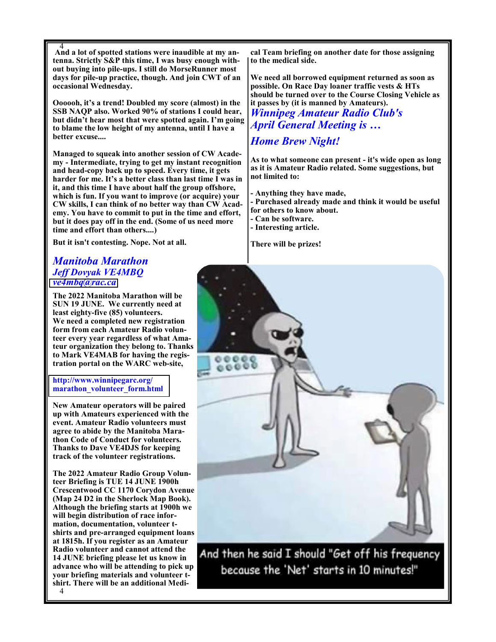4 And a lot of spotted stations were inaudible at my antenna. Strictly S&P this time, I was busy enough without buying into pile-ups. I still do MorseRunner most days for pile-up practice, though. And join CWT of an occasional Wednesday.

Oooooh, it's a trend! Doubled my score (almost) in the SSB NAQP also. Worked 90% of stations I could hear, but didn't hear most that were spotted again. I'm going to blame the low height of my antenna, until I have a better excuse....

Managed to squeak into another session of CW Academy - Intermediate, trying to get my instant recognition and head-copy back up to speed. Every time, it gets harder for me. It's a better class than last time I was in it, and this time I have about half the group offshore, which is fun. If you want to improve (or acquire) your CW skills, I can think of no better way than CW Academy. You have to commit to put in the time and effort, but it does pay off in the end. (Some of us need more time and effort than others....)

But it isn't contesting. Nope. Not at all.

# Manitoba Marathon Jeff Dovyak VE4MBQ [ve4mbq@rac.ca](mailto:ve4mbq@rac.ca)

The 2022 Manitoba Marathon will be SUN 19 JUNE. We currently need at least eighty-five (85) volunteers. We need a completed new registration form from each Amateur Radio volunteer every year regardless of what Amateur organization they belong to. Thanks to Mark VE4MAB for having the registration portal on the WARC web-site,

### http://www.winnipegarc.org/ marathon\_volunteer\_form.html

New Amateur operators will be paired up with Amateurs experienced with the event. Amateur Radio volunteers must agree to abide by the Manitoba Marathon Code of Conduct for volunteers. Thanks to Dave VE4DJS for keeping track of the volunteer registrations.

The 2022 Amateur Radio Group Volunteer Briefing is TUE 14 JUNE 1900h Crescentwood CC 1170 Corydon Avenue (Map 24 D2 in the Sherlock Map Book). Although the briefing starts at 1900h we will begin distribution of race information, documentation, volunteer tshirts and pre-arranged equipment loans at 1815h. If you register as an Amateur Radio volunteer and cannot attend the 14 JUNE briefing please let us know in advance who will be attending to pick up your briefing materials and volunteer tshirt. There will be an additional Medi-

cal Team briefing on another date for those assigning to the medical side.

We need all borrowed equipment returned as soon as possible. On Race Day loaner traffic vests & HTs should be turned over to the Course Closing Vehicle as it passes by (it is manned by Amateurs). Winnipeg Amateur Radio Club's April General Meeting is …

# Home Brew Night!

As to what someone can present - it's wide open as long as it is Amateur Radio related. Some suggestions, but not limited to:

- Anything they have made,
- Purchased already made and think it would be useful for others to know about.
- Can be software.
- Interesting article.

There will be prizes!



And then he said I should "Get off his frequency because the 'Net' starts in 10 minutes!"